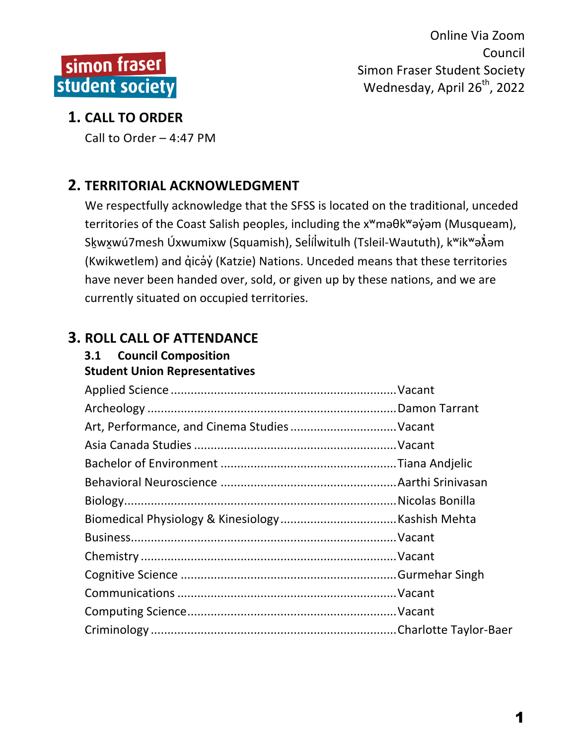

### **1. CALL TO ORDER**

Call to Order  $-$  4:47 PM

# **2. TERRITORIAL ACKNOWLEDGMENT**

We respectfully acknowledge that the SFSS is located on the traditional, unceded territories of the Coast Salish peoples, including the x<sup>w</sup>maθk<sup>w</sup>aγ jom (Musqueam), S<uk</u>wxwú7mesh Úxwumixw (Squamish), Seİíİwitulh (Tsleil-Waututh), kʷikʷə๋⁄iəm (Kwikwetlem) and q̓icə̓y̓(Katzie) Nations. Unceded means that these territories have never been handed over, sold, or given up by these nations, and we are currently situated on occupied territories.

# **3. ROLL CALL OF ATTENDANCE**

# **3.1 Council Composition**

**Student Union Representatives**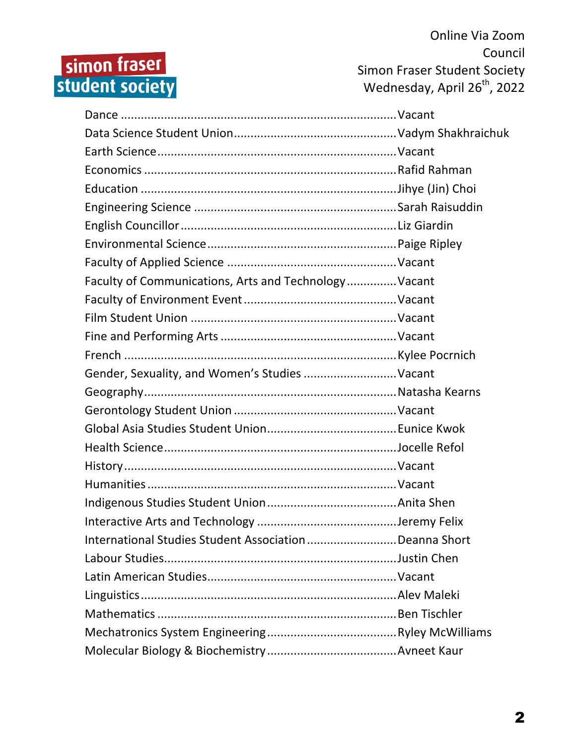# simon fraser<br>student society

Online Via Zoom Council Simon Fraser Student Society Wednesday, April 26<sup>th</sup>, 2022

| Faculty of Communications, Arts and Technology Vacant |  |
|-------------------------------------------------------|--|
|                                                       |  |
|                                                       |  |
|                                                       |  |
|                                                       |  |
| Gender, Sexuality, and Women's Studies  Vacant        |  |
|                                                       |  |
|                                                       |  |
|                                                       |  |
|                                                       |  |
|                                                       |  |
|                                                       |  |
|                                                       |  |
|                                                       |  |
|                                                       |  |
| International Studies Student AssociationDeanna Short |  |
|                                                       |  |
|                                                       |  |
|                                                       |  |
|                                                       |  |
|                                                       |  |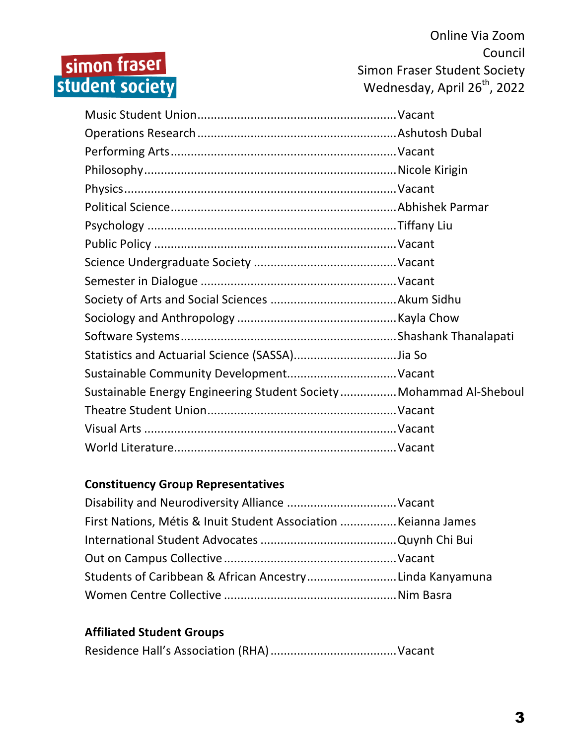# simon fraser<br>student society

Online Via Zoom Council Simon Fraser Student Society Wednesday, April 26<sup>th</sup>, 2022

| Sustainable Energy Engineering Student Society Mohammad Al-Sheboul |  |
|--------------------------------------------------------------------|--|
|                                                                    |  |
|                                                                    |  |
|                                                                    |  |

#### **Constituency Group Representatives**

| First Nations, Métis & Inuit Student Association  Keianna James |  |
|-----------------------------------------------------------------|--|
|                                                                 |  |
|                                                                 |  |
| Students of Caribbean & African AncestryLinda Kanyamuna         |  |
|                                                                 |  |

#### **Affiliated Student Groups**

|--|--|--|--|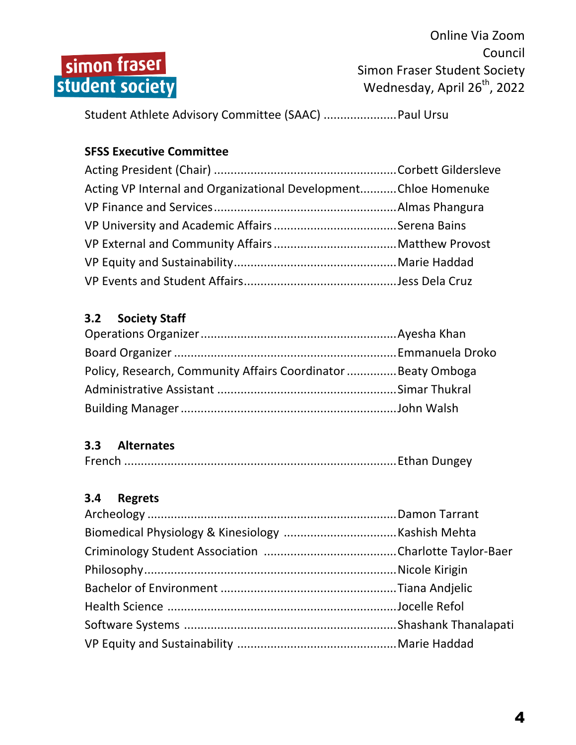

Student Athlete Advisory Committee (SAAC) .......................... Paul Ursu

#### **SFSS Executive Committee**

| Acting VP Internal and Organizational DevelopmentChloe Homenuke |  |
|-----------------------------------------------------------------|--|
|                                                                 |  |
|                                                                 |  |
|                                                                 |  |
|                                                                 |  |
|                                                                 |  |

#### **3.2 Society Staff**

| Policy, Research, Community Affairs Coordinator Beaty Omboga |  |
|--------------------------------------------------------------|--|
|                                                              |  |
|                                                              |  |

#### **3.3 Alternates**

|--|--|--|

#### **3.4 Regrets**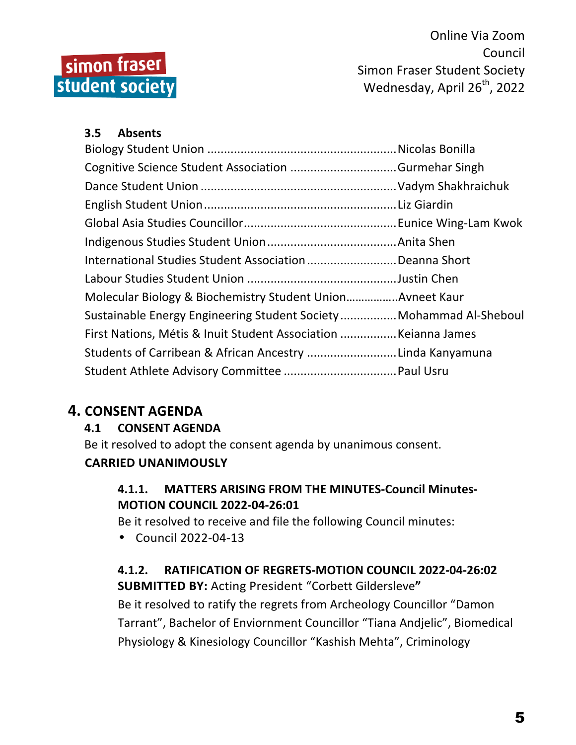

#### **3.5 Absents**

| International Studies Student AssociationDeanna Short              |  |
|--------------------------------------------------------------------|--|
|                                                                    |  |
| Molecular Biology & Biochemistry Student Union Avneet Kaur         |  |
| Sustainable Energy Engineering Student Society Mohammad Al-Sheboul |  |
|                                                                    |  |
| Students of Carribean & African Ancestry Linda Kanyamuna           |  |
|                                                                    |  |

#### **4. CONSENT AGENDA**

#### **4.1 CONSENT AGENDA**

Be it resolved to adopt the consent agenda by unanimous consent.

#### **CARRIED UNANIMOUSLY**

#### **4.1.1. MATTERS ARISING FROM THE MINUTES-Council Minutes-MOTION COUNCIL 2022-04-26:01**

Be it resolved to receive and file the following Council minutes:

• Council 2022-04-13

#### **4.1.2. RATIFICATION OF REGRETS-MOTION COUNCIL 2022-04-26:02 SUBMITTED BY: Acting President "Corbett Gildersleve"**

Be it resolved to ratify the regrets from Archeology Councillor "Damon Tarrant", Bachelor of Enviornment Councillor "Tiana Andjelic", Biomedical Physiology & Kinesiology Councillor "Kashish Mehta", Criminology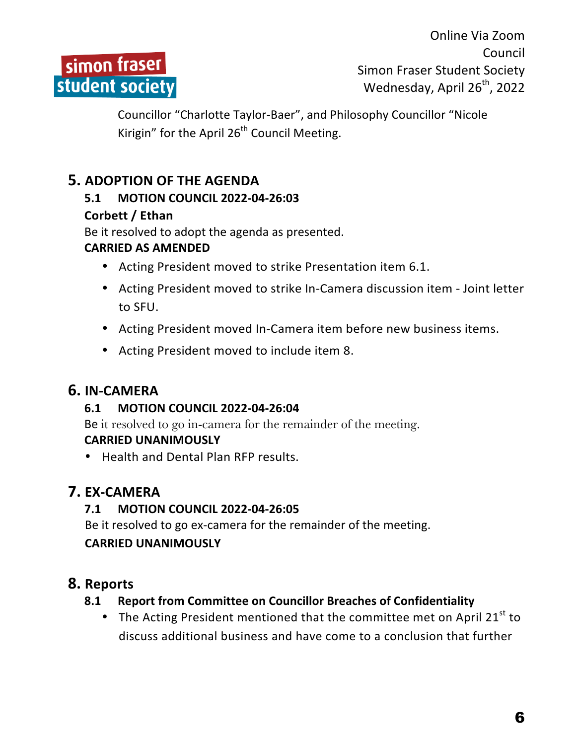

Councillor "Charlotte Taylor-Baer", and Philosophy Councillor "Nicole Kirigin" for the April  $26<sup>th</sup>$  Council Meeting.

## **5. ADOPTION OF THE AGENDA**

#### **5.1 MOTION COUNCIL 2022-04-26:03**

#### **Corbett / Ethan**

Be it resolved to adopt the agenda as presented.

#### **CARRIED AS AMENDED**

- Acting President moved to strike Presentation item 6.1.
- Acting President moved to strike In-Camera discussion item Joint letter to SFU.
- Acting President moved In-Camera item before new business items.
- Acting President moved to include item 8.

#### **6. IN-CAMERA**

#### **6.1 MOTION COUNCIL 2022-04-26:04**

Be it resolved to go in-camera for the remainder of the meeting. **CARRIED UNANIMOUSLY**

• Health and Dental Plan RFP results.

## **7. EX-CAMERA**

#### **7.1 MOTION COUNCIL 2022-04-26:05**

Be it resolved to go ex-camera for the remainder of the meeting.

#### **CARRIED UNANIMOUSLY**

#### **8. Reports**

#### **8.1** Report from Committee on Councillor Breaches of Confidentiality

• The Acting President mentioned that the committee met on April 21 $^{\rm st}$  to discuss additional business and have come to a conclusion that further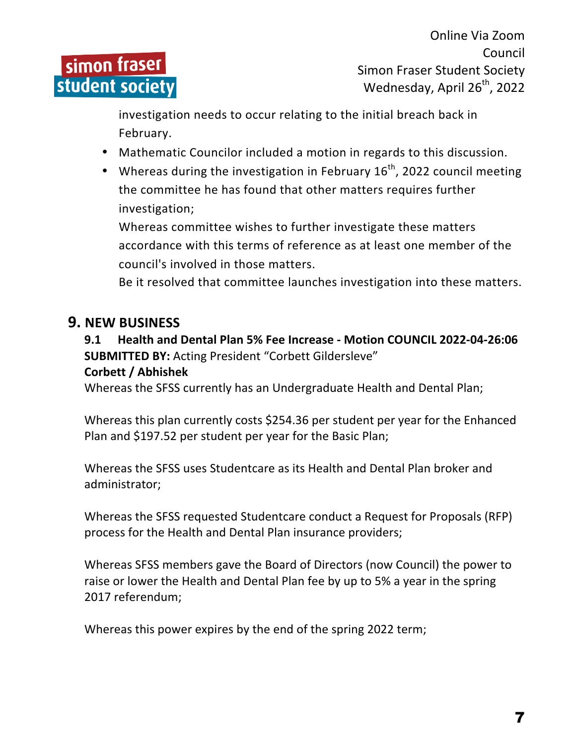

investigation needs to occur relating to the initial breach back in February. 

- Mathematic Councilor included a motion in regards to this discussion.
- Whereas during the investigation in February  $16<sup>th</sup>$ , 2022 council meeting the committee he has found that other matters requires further investigation;

Whereas committee wishes to further investigate these matters accordance with this terms of reference as at least one member of the council's involved in those matters.

Be it resolved that committee launches investigation into these matters.

#### **9. NEW BUSINESS**

#### **9.1 Health and Dental Plan 5% Fee Increase - Motion COUNCIL 2022-04-26:06 SUBMITTED BY: Acting President "Corbett Gildersleve"**

#### **Corbett / Abhishek**

Whereas the SFSS currently has an Undergraduate Health and Dental Plan;

Whereas this plan currently costs \$254.36 per student per year for the Enhanced Plan and \$197.52 per student per year for the Basic Plan;

Whereas the SFSS uses Studentcare as its Health and Dental Plan broker and administrator;

Whereas the SFSS requested Studentcare conduct a Request for Proposals (RFP) process for the Health and Dental Plan insurance providers;

Whereas SFSS members gave the Board of Directors (now Council) the power to raise or lower the Health and Dental Plan fee by up to 5% a year in the spring 2017 referendum;

Whereas this power expires by the end of the spring 2022 term;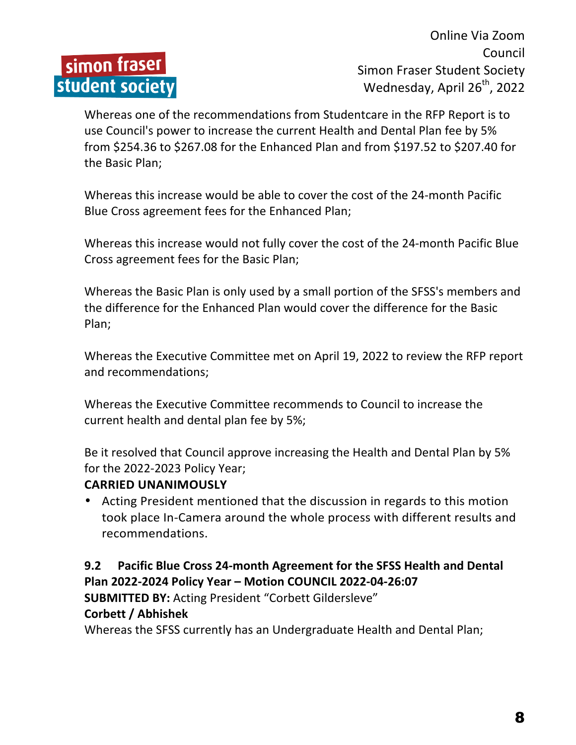

Whereas one of the recommendations from Studentcare in the RFP Report is to use Council's power to increase the current Health and Dental Plan fee by 5% from \$254.36 to \$267.08 for the Enhanced Plan and from \$197.52 to \$207.40 for the Basic Plan;

Whereas this increase would be able to cover the cost of the 24-month Pacific Blue Cross agreement fees for the Enhanced Plan;

Whereas this increase would not fully cover the cost of the 24-month Pacific Blue Cross agreement fees for the Basic Plan;

Whereas the Basic Plan is only used by a small portion of the SFSS's members and the difference for the Enhanced Plan would cover the difference for the Basic Plan;

Whereas the Executive Committee met on April 19, 2022 to review the RFP report and recommendations;

Whereas the Executive Committee recommends to Council to increase the current health and dental plan fee by 5%;

Be it resolved that Council approve increasing the Health and Dental Plan by 5% for the 2022-2023 Policy Year;

#### **CARRIED UNANIMOUSLY**

• Acting President mentioned that the discussion in regards to this motion took place In-Camera around the whole process with different results and recommendations.

#### **9.2** Pacific Blue Cross 24-month Agreement for the SFSS Health and Dental **Plan 2022-2024 Policy Year – Motion COUNCIL 2022-04-26:07**

**SUBMITTED BY: Acting President "Corbett Gildersleve"** 

#### **Corbett / Abhishek**

Whereas the SFSS currently has an Undergraduate Health and Dental Plan;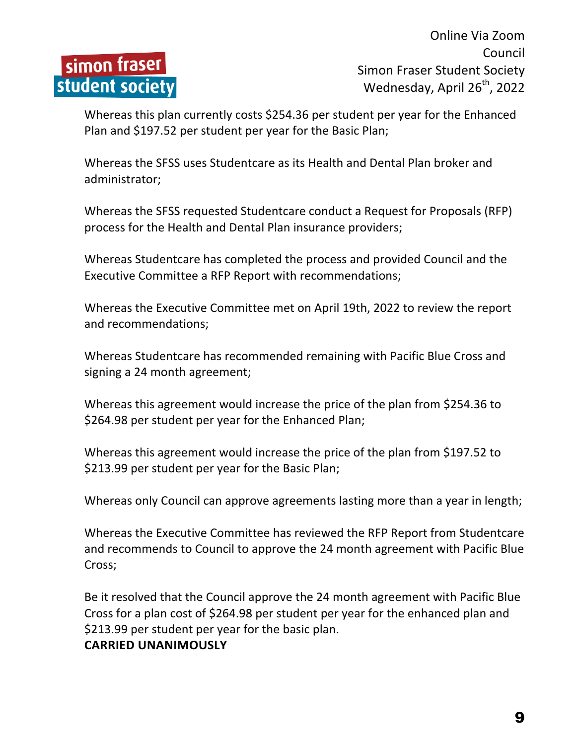

Whereas this plan currently costs \$254.36 per student per year for the Enhanced Plan and \$197.52 per student per year for the Basic Plan;

Whereas the SFSS uses Studentcare as its Health and Dental Plan broker and administrator;

Whereas the SFSS requested Studentcare conduct a Request for Proposals (RFP) process for the Health and Dental Plan insurance providers;

Whereas Studentcare has completed the process and provided Council and the Executive Committee a RFP Report with recommendations;

Whereas the Executive Committee met on April 19th, 2022 to review the report and recommendations;

Whereas Studentcare has recommended remaining with Pacific Blue Cross and signing a 24 month agreement;

Whereas this agreement would increase the price of the plan from \$254.36 to \$264.98 per student per year for the Enhanced Plan;

Whereas this agreement would increase the price of the plan from \$197.52 to \$213.99 per student per year for the Basic Plan;

Whereas only Council can approve agreements lasting more than a year in length;

Whereas the Executive Committee has reviewed the RFP Report from Studentcare and recommends to Council to approve the 24 month agreement with Pacific Blue Cross;

Be it resolved that the Council approve the 24 month agreement with Pacific Blue Cross for a plan cost of \$264.98 per student per year for the enhanced plan and \$213.99 per student per year for the basic plan.

#### **CARRIED UNANIMOUSLY**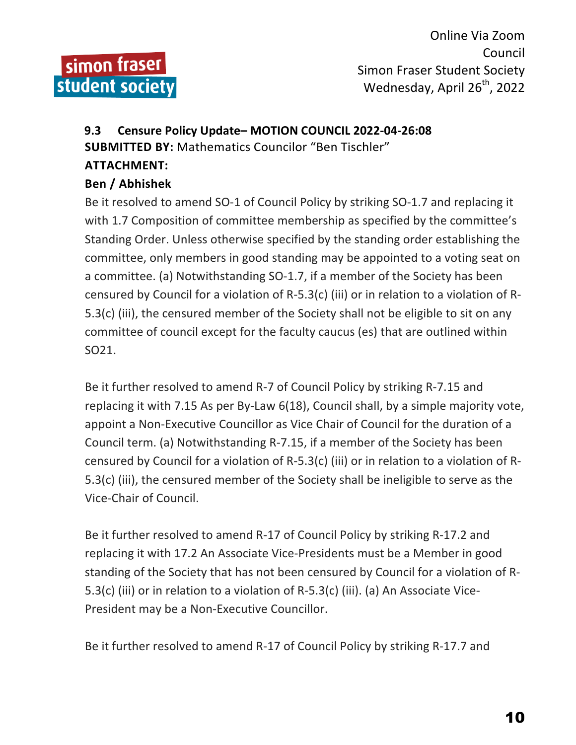

# **9.3 Censure Policy Update– MOTION COUNCIL 2022-04-26:08 SUBMITTED BY:** Mathematics Councilor "Ben Tischler"

#### **ATTACHMENT:**

#### **Ben / Abhishek**

Be it resolved to amend SO-1 of Council Policy by striking SO-1.7 and replacing it with 1.7 Composition of committee membership as specified by the committee's Standing Order. Unless otherwise specified by the standing order establishing the committee, only members in good standing may be appointed to a voting seat on a committee. (a) Notwithstanding SO-1.7, if a member of the Society has been censured by Council for a violation of R-5.3(c) (iii) or in relation to a violation of R-5.3(c) (iii), the censured member of the Society shall not be eligible to sit on any committee of council except for the faculty caucus (es) that are outlined within SO21. 

Be it further resolved to amend R-7 of Council Policy by striking R-7.15 and replacing it with  $7.15$  As per By-Law  $6(18)$ , Council shall, by a simple majority vote, appoint a Non-Executive Councillor as Vice Chair of Council for the duration of a Council term. (a) Notwithstanding R-7.15, if a member of the Society has been censured by Council for a violation of R-5.3(c) (iii) or in relation to a violation of R-5.3(c) (iii), the censured member of the Society shall be ineligible to serve as the Vice-Chair of Council.

Be it further resolved to amend R-17 of Council Policy by striking R-17.2 and replacing it with 17.2 An Associate Vice-Presidents must be a Member in good standing of the Society that has not been censured by Council for a violation of R-5.3(c) (iii) or in relation to a violation of R-5.3(c) (iii). (a) An Associate Vice-President may be a Non-Executive Councillor.

Be it further resolved to amend R-17 of Council Policy by striking R-17.7 and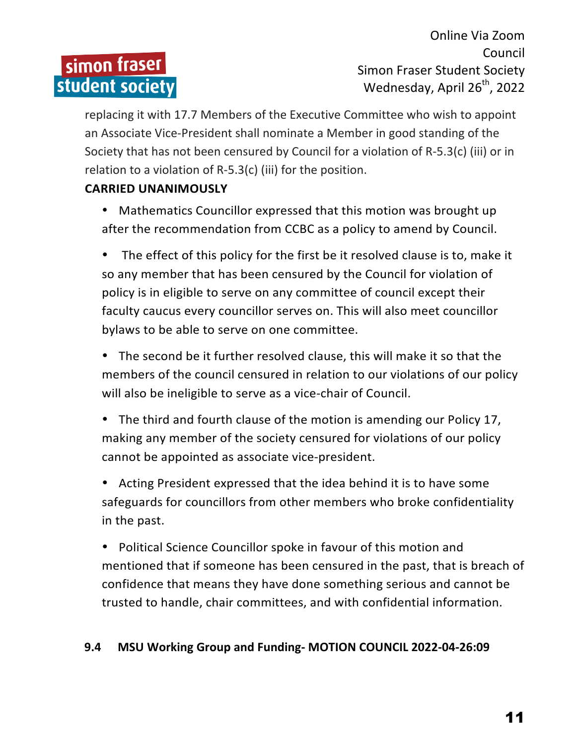# simon fraser student society

Online Via Zoom Council Simon Fraser Student Society Wednesday, April 26<sup>th</sup>, 2022

replacing it with 17.7 Members of the Executive Committee who wish to appoint an Associate Vice-President shall nominate a Member in good standing of the Society that has not been censured by Council for a violation of  $R-5.3(c)$  (iii) or in relation to a violation of R-5.3(c) (iii) for the position.

#### **CARRIED UNANIMOUSLY**

• Mathematics Councillor expressed that this motion was brought up after the recommendation from CCBC as a policy to amend by Council.

• The effect of this policy for the first be it resolved clause is to, make it so any member that has been censured by the Council for violation of policy is in eligible to serve on any committee of council except their faculty caucus every councillor serves on. This will also meet councillor bylaws to be able to serve on one committee.

• The second be it further resolved clause, this will make it so that the members of the council censured in relation to our violations of our policy will also be ineligible to serve as a vice-chair of Council.

• The third and fourth clause of the motion is amending our Policy 17, making any member of the society censured for violations of our policy cannot be appointed as associate vice-president.

• Acting President expressed that the idea behind it is to have some safeguards for councillors from other members who broke confidentiality in the past.

• Political Science Councillor spoke in favour of this motion and mentioned that if someone has been censured in the past, that is breach of confidence that means they have done something serious and cannot be trusted to handle, chair committees, and with confidential information.

#### **9.4 MSU Working Group and Funding- MOTION COUNCIL 2022-04-26:09**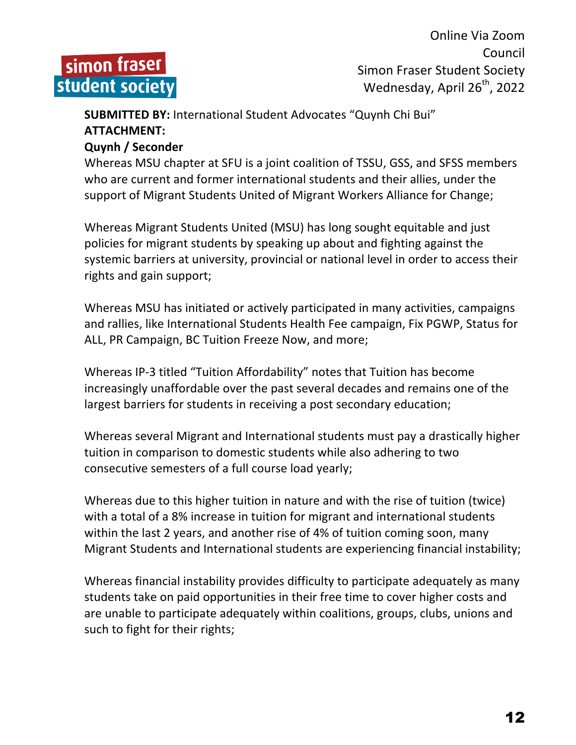

## **SUBMITTED BY:** International Student Advocates "Quynh Chi Bui" **ATTACHMENT:**

#### **Quynh / Seconder**

Whereas MSU chapter at SFU is a joint coalition of TSSU, GSS, and SFSS members who are current and former international students and their allies, under the support of Migrant Students United of Migrant Workers Alliance for Change;

Whereas Migrant Students United (MSU) has long sought equitable and just policies for migrant students by speaking up about and fighting against the systemic barriers at university, provincial or national level in order to access their rights and gain support;

Whereas MSU has initiated or actively participated in many activities, campaigns and rallies, like International Students Health Fee campaign, Fix PGWP, Status for ALL, PR Campaign, BC Tuition Freeze Now, and more;

Whereas IP-3 titled "Tuition Affordability" notes that Tuition has become increasingly unaffordable over the past several decades and remains one of the largest barriers for students in receiving a post secondary education;

Whereas several Migrant and International students must pay a drastically higher tuition in comparison to domestic students while also adhering to two consecutive semesters of a full course load yearly;

Whereas due to this higher tuition in nature and with the rise of tuition (twice) with a total of a 8% increase in tuition for migrant and international students within the last 2 years, and another rise of 4% of tuition coming soon, many Migrant Students and International students are experiencing financial instability;

Whereas financial instability provides difficulty to participate adequately as many students take on paid opportunities in their free time to cover higher costs and are unable to participate adequately within coalitions, groups, clubs, unions and such to fight for their rights;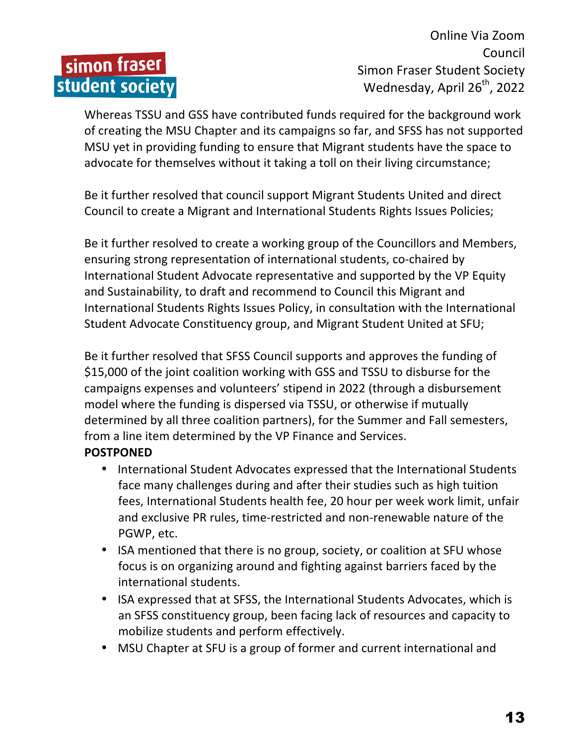# simon fraser student society

Online Via Zoom Council Simon Fraser Student Society Wednesday, April 26<sup>th</sup>, 2022

Whereas TSSU and GSS have contributed funds required for the background work of creating the MSU Chapter and its campaigns so far, and SFSS has not supported MSU yet in providing funding to ensure that Migrant students have the space to advocate for themselves without it taking a toll on their living circumstance;

Be it further resolved that council support Migrant Students United and direct Council to create a Migrant and International Students Rights Issues Policies;

Be it further resolved to create a working group of the Councillors and Members, ensuring strong representation of international students, co-chaired by International Student Advocate representative and supported by the VP Equity and Sustainability, to draft and recommend to Council this Migrant and International Students Rights Issues Policy, in consultation with the International Student Advocate Constituency group, and Migrant Student United at SFU;

Be it further resolved that SFSS Council supports and approves the funding of \$15,000 of the joint coalition working with GSS and TSSU to disburse for the campaigns expenses and volunteers' stipend in 2022 (through a disbursement model where the funding is dispersed via TSSU, or otherwise if mutually determined by all three coalition partners), for the Summer and Fall semesters, from a line item determined by the VP Finance and Services.

#### **POSTPONED**

- International Student Advocates expressed that the International Students face many challenges during and after their studies such as high tuition fees, International Students health fee, 20 hour per week work limit, unfair and exclusive PR rules, time-restricted and non-renewable nature of the PGWP, etc.
- ISA mentioned that there is no group, society, or coalition at SFU whose focus is on organizing around and fighting against barriers faced by the international students.
- ISA expressed that at SFSS, the International Students Advocates, which is an SFSS constituency group, been facing lack of resources and capacity to mobilize students and perform effectively.
- MSU Chapter at SFU is a group of former and current international and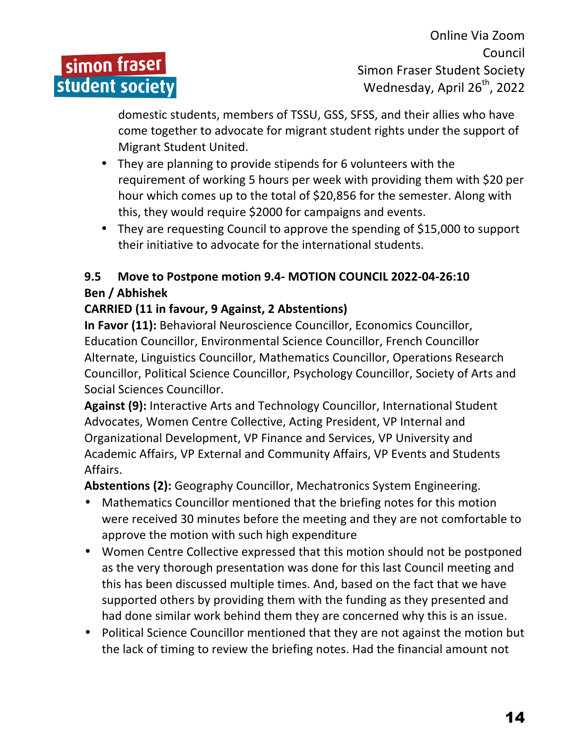

domestic students, members of TSSU, GSS, SFSS, and their allies who have come together to advocate for migrant student rights under the support of Migrant Student United.

- They are planning to provide stipends for 6 volunteers with the requirement of working 5 hours per week with providing them with \$20 per hour which comes up to the total of \$20,856 for the semester. Along with this, they would require \$2000 for campaigns and events.
- They are requesting Council to approve the spending of \$15,000 to support their initiative to advocate for the international students.

#### 9.5 Move to Postpone motion 9.4- MOTION COUNCIL 2022-04-26:10 **Ben / Abhishek**

#### **CARRIED (11 in favour, 9 Against, 2 Abstentions)**

**In Favor (11):** Behavioral Neuroscience Councillor, Economics Councillor, Education Councillor, Environmental Science Councillor, French Councillor Alternate, Linguistics Councillor, Mathematics Councillor, Operations Research Councillor, Political Science Councillor, Psychology Councillor, Society of Arts and Social Sciences Councillor.

Against (9): Interactive Arts and Technology Councillor, International Student Advocates, Women Centre Collective, Acting President, VP Internal and Organizational Development, VP Finance and Services, VP University and Academic Affairs, VP External and Community Affairs, VP Events and Students Affairs.

Abstentions (2): Geography Councillor, Mechatronics System Engineering.

- Mathematics Councillor mentioned that the briefing notes for this motion were received 30 minutes before the meeting and they are not comfortable to approve the motion with such high expenditure
- Women Centre Collective expressed that this motion should not be postponed as the very thorough presentation was done for this last Council meeting and this has been discussed multiple times. And, based on the fact that we have supported others by providing them with the funding as they presented and had done similar work behind them they are concerned why this is an issue.
- Political Science Councillor mentioned that they are not against the motion but the lack of timing to review the briefing notes. Had the financial amount not